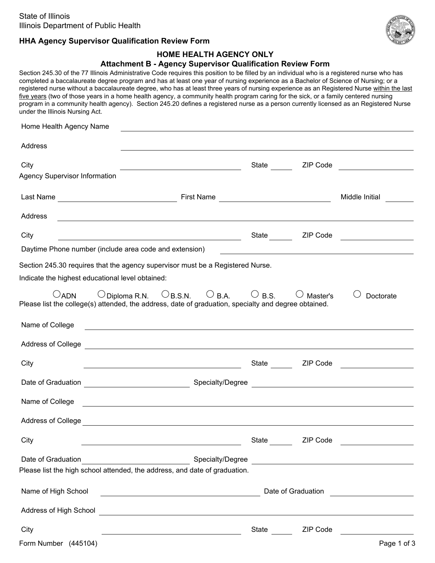

# **HHA Agency Supervisor Qualification Review Form**

#### **HOME HEALTH AGENCY ONLY**

#### **Attachment B - Agency Supervisor Qualification Review Form**

Section 245.30 of the 77 Illinois Administrative Code requires this position to be filled by an individual who is a registered nurse who has completed a baccalaureate degree program and has at least one year of nursing experience as a Bachelor of Science of Nursing; or a registered nurse without a baccalaureate degree, who has at least three years of nursing experience as an Registered Nurse within the last five years (two of those years in a home health agency, a community health program caring for the sick, or a family centered nursing program in a community health agency). Section 245.20 defines a registered nurse as a person currently licensed as an Registered Nurse under the Illinois Nursing Act.

| Home Health Agency Name                                                                                                                                                                                                              |                                                              |                 |                                                                                                                       |  |
|--------------------------------------------------------------------------------------------------------------------------------------------------------------------------------------------------------------------------------------|--------------------------------------------------------------|-----------------|-----------------------------------------------------------------------------------------------------------------------|--|
| Address<br>and the control of the control of the control of the control of the control of the control of the control of the                                                                                                          |                                                              |                 |                                                                                                                       |  |
| City                                                                                                                                                                                                                                 |                                                              |                 |                                                                                                                       |  |
| <b>Agency Supervisor Information</b>                                                                                                                                                                                                 |                                                              |                 |                                                                                                                       |  |
|                                                                                                                                                                                                                                      |                                                              |                 | Middle Initial                                                                                                        |  |
| Address<br><u> 1989 - Johann Stoff, amerikansk politiker (d. 1989)</u>                                                                                                                                                               |                                                              |                 |                                                                                                                       |  |
| City                                                                                                                                                                                                                                 |                                                              | State ZIP Code  | <u> 1990 - Jan Barbara Barbara, política establecente de la propia de la propia de la propia de la propia de la p</u> |  |
| Daytime Phone number (include area code and extension)                                                                                                                                                                               | <u> 1989 - Jan James Barnett, fransk politiker (d. 1989)</u> |                 |                                                                                                                       |  |
| Section 245.30 requires that the agency supervisor must be a Registered Nurse.<br>Indicate the highest educational level obtained:                                                                                                   |                                                              |                 |                                                                                                                       |  |
| $\bigcirc$ Diploma R.N. $\bigcirc$ B.S.N. $\bigcirc$ B.A. $\bigcirc$ B.S.<br>$O$ ADN<br>Please list the college(s) attended, the address, date of graduation, specialty and degree obtained.                                         |                                                              | $\cup$ Master's | Doctorate                                                                                                             |  |
| Name of College<br><u> 1989 - Johann Stein, markin fan de Amerikaansk kommunent fan de Amerikaansk kommunent fan de Amerikaanske fan</u>                                                                                             |                                                              |                 |                                                                                                                       |  |
| Address of College <b>contract to the contract of the contract of the contract of the contract of college</b> and the contract of the contract of the contract of the contract of the contract of the contract of the contract of t  |                                                              |                 |                                                                                                                       |  |
| City<br><u> 1989 - Johann Stoff, fransk politik (d. 1989)</u>                                                                                                                                                                        |                                                              | State ZIP Code  |                                                                                                                       |  |
|                                                                                                                                                                                                                                      |                                                              |                 |                                                                                                                       |  |
| Name of College <b>contract the contract of College</b> and College and College and College and College and College and College and College and College and College and College and College and College and College and College and  |                                                              |                 |                                                                                                                       |  |
| Address of College <b>contract to the contract of the contract of the contract of the contract of the contract of the contract of the contract of the contract of the contract of the contract of the contract of the contract o</b> |                                                              |                 |                                                                                                                       |  |
| City                                                                                                                                                                                                                                 | State                                                        | ZIP Code        |                                                                                                                       |  |
| Date of Graduation<br><u> 1980 - Johann Barbara, martxa amerikan per</u><br>Please list the high school attended, the address, and date of graduation.                                                                               |                                                              |                 | Specialty/Degree                                                                                                      |  |
| Name of High School<br><u> 1989 - Johann Barn, fransk politik amerikansk politik (</u>                                                                                                                                               |                                                              |                 |                                                                                                                       |  |
| Address of High School <u>Communications</u> and the experimental control of the experimental control of the experimental control of the experimental control of the experimental control of the experimental control of the experi  |                                                              |                 |                                                                                                                       |  |
| City<br><u> 1989 - Johann Barn, fransk politik (d. 1989)</u>                                                                                                                                                                         |                                                              | State ZIP Code  | <u> 1980 - Jan Barbara Barbara, política establece</u>                                                                |  |
| Form Number (445104)                                                                                                                                                                                                                 |                                                              |                 | Page 1 of 3                                                                                                           |  |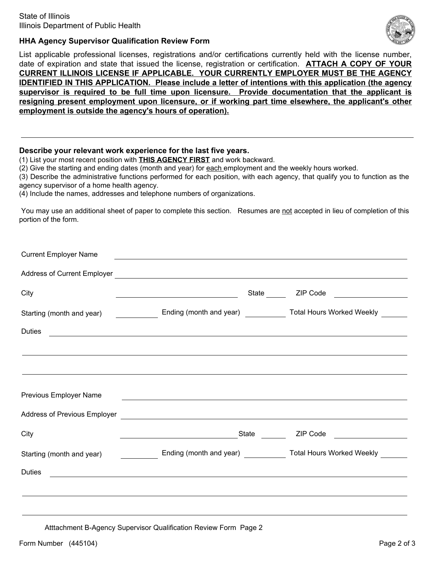

## **HHA Agency Supervisor Qualification Review Form**

List applicable professional licenses, registrations and/or certifications currently held with the license number, date of expiration and state that issued the license, registration or certification. **ATTACH A COPY OF YOUR CURRENT ILLINOIS LICENSE IF APPLICABLE. YOUR CURRENTLY EMPLOYER MUST BE THE AGENCY IDENTIFIED IN THIS APPLICATION. Please include a letter of intentions with this application (the agency supervisor is required to be full time upon licensure. Provide documentation that the applicant is resigning present employment upon licensure, or if working part time elsewhere, the applicant's other employment is outside the agency's hours of operation).**

#### **Describe your relevant work experience for the last five years.**

(1) List your most recent position with **THIS AGENCY FIRST** and work backward.

(2) Give the starting and ending dates (month and year) for each employment and the weekly hours worked.

(3) Describe the administrative functions performed for each position, with each agency, that qualify you to function as the agency supervisor of a home health agency.

(4) Include the names, addresses and telephone numbers of organizations.

You may use an additional sheet of paper to complete this section. Resumes are not accepted in lieu of completion of this portion of the form.

| City                          | <u> 1989 - Johann Barbara, martxa alemaniar a</u>                                                                                                                                                                                    | State ZIP Code                     |
|-------------------------------|--------------------------------------------------------------------------------------------------------------------------------------------------------------------------------------------------------------------------------------|------------------------------------|
|                               | Starting (month and year) <b>Ending (month and year)</b> Total Hours Worked Weekly _____                                                                                                                                             |                                    |
| Duties                        |                                                                                                                                                                                                                                      |                                    |
|                               |                                                                                                                                                                                                                                      |                                    |
|                               |                                                                                                                                                                                                                                      |                                    |
|                               |                                                                                                                                                                                                                                      |                                    |
| <b>Previous Employer Name</b> | <u> Andreas Andreas Andreas Andreas Andreas Andreas Andreas Andreas Andreas Andreas Andreas Andreas Andreas Andr</u>                                                                                                                 |                                    |
|                               | Address of Previous Employer <u>experience and the contract of the contract of the contract of the contract of the contract of the contract of the contract of the contract of the contract of the contract of the contract of t</u> |                                    |
| City                          | State<br><u> 1989 - Johann Barn, fransk politik (</u>                                                                                                                                                                                | ZIP Code <u>__________________</u> |
|                               | Starting (month and year) <b>Ending (month and year)</b> Total Hours Worked Weekly <b>Conservance Conservance Conservance</b>                                                                                                        |                                    |
| <b>Duties</b>                 |                                                                                                                                                                                                                                      |                                    |
|                               |                                                                                                                                                                                                                                      |                                    |

Atttachment B-Agency Supervisor Qualification Review Form Page 2